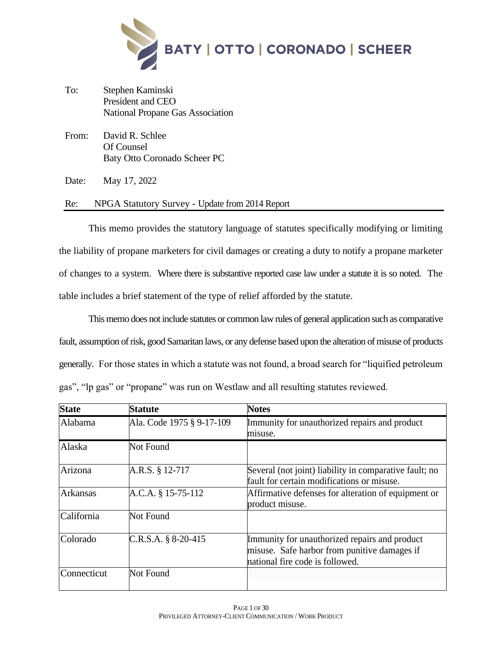

- To: Stephen Kaminski President and CEO National Propane Gas Association
- From: David R. Schlee Of Counsel Baty Otto Coronado Scheer PC

Date: May 17, 2022

# Re: NPGA Statutory Survey - Update from 2014 Report

This memo provides the statutory language of statutes specifically modifying or limiting the liability of propane marketers for civil damages or creating a duty to notify a propane marketer of changes to a system. Where there is substantive reported case law under a statute it is so noted. The table includes a brief statement of the type of relief afforded by the statute.

This memo does not include statutes or common law rules of general application such as comparative fault, assumption of risk, good Samaritan laws, or any defense based upon the alteration of misuse of products generally. For those states in which a statute was not found, a broad search for "liquified petroleum gas", "lp gas" or "propane" was run on Westlaw and all resulting statutes reviewed.

| <b>State</b> | <b>Statute</b>            | <b>Notes</b>                                                                                                                     |
|--------------|---------------------------|----------------------------------------------------------------------------------------------------------------------------------|
| Alabama      | Ala. Code 1975 § 9-17-109 | Immunity for unauthorized repairs and product<br>misuse.                                                                         |
| Alaska       | Not Found                 |                                                                                                                                  |
| Arizona      | A.R.S. § 12-717           | Several (not joint) liability in comparative fault; no<br>fault for certain modifications or misuse.                             |
| Arkansas     | A.C.A. § 15-75-112        | Affirmative defenses for alteration of equipment or<br>product misuse.                                                           |
| California   | Not Found                 |                                                                                                                                  |
| Colorado     | $C.R.S.A. § 8-20-415$     | Immunity for unauthorized repairs and product<br>misuse. Safe harbor from punitive damages if<br>national fire code is followed. |
| Connecticut  | Not Found                 |                                                                                                                                  |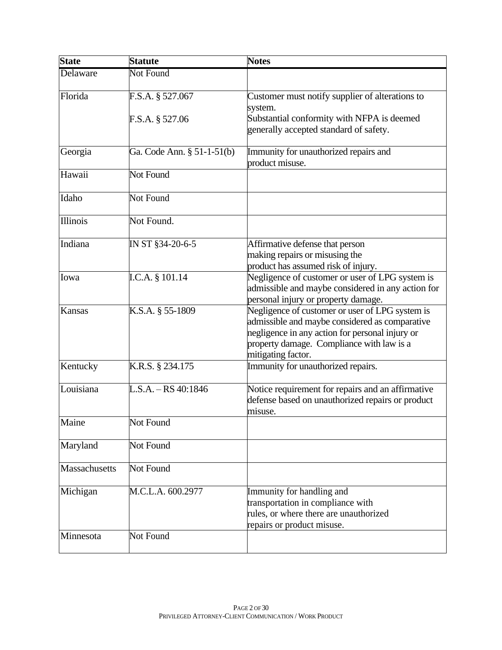| <b>State</b>  | <b>Statute</b>                      | <b>Notes</b>                                                                                                                                                                                                            |
|---------------|-------------------------------------|-------------------------------------------------------------------------------------------------------------------------------------------------------------------------------------------------------------------------|
| Delaware      | Not Found                           |                                                                                                                                                                                                                         |
| Florida       | F.S.A. § 527.067<br>F.S.A. § 527.06 | Customer must notify supplier of alterations to<br>system.<br>Substantial conformity with NFPA is deemed<br>generally accepted standard of safety.                                                                      |
| Georgia       | Ga. Code Ann. § 51-1-51(b)          | Immunity for unauthorized repairs and<br>product misuse.                                                                                                                                                                |
| Hawaii        | <b>Not Found</b>                    |                                                                                                                                                                                                                         |
| Idaho         | Not Found                           |                                                                                                                                                                                                                         |
| Illinois      | Not Found.                          |                                                                                                                                                                                                                         |
| Indiana       | IN ST §34-20-6-5                    | Affirmative defense that person<br>making repairs or misusing the<br>product has assumed risk of injury.                                                                                                                |
| Iowa          | I.C.A. § 101.14                     | Negligence of customer or user of LPG system is<br>admissible and maybe considered in any action for<br>personal injury or property damage.                                                                             |
| <b>Kansas</b> | K.S.A. § 55-1809                    | Negligence of customer or user of LPG system is<br>admissible and maybe considered as comparative<br>negligence in any action for personal injury or<br>property damage. Compliance with law is a<br>mitigating factor. |
| Kentucky      | K.R.S. § 234.175                    | Immunity for unauthorized repairs.                                                                                                                                                                                      |
| Louisiana     | $\overline{L.S}.A. - RS 40:1846$    | Notice requirement for repairs and an affirmative<br>defense based on unauthorized repairs or product<br>misuse.                                                                                                        |
| Maine         | Not Found                           |                                                                                                                                                                                                                         |
| Maryland      | Not Found                           |                                                                                                                                                                                                                         |
| Massachusetts | Not Found                           |                                                                                                                                                                                                                         |
| Michigan      | M.C.L.A. 600.2977                   | Immunity for handling and<br>transportation in compliance with<br>rules, or where there are unauthorized<br>repairs or product misuse.                                                                                  |
| Minnesota     | Not Found                           |                                                                                                                                                                                                                         |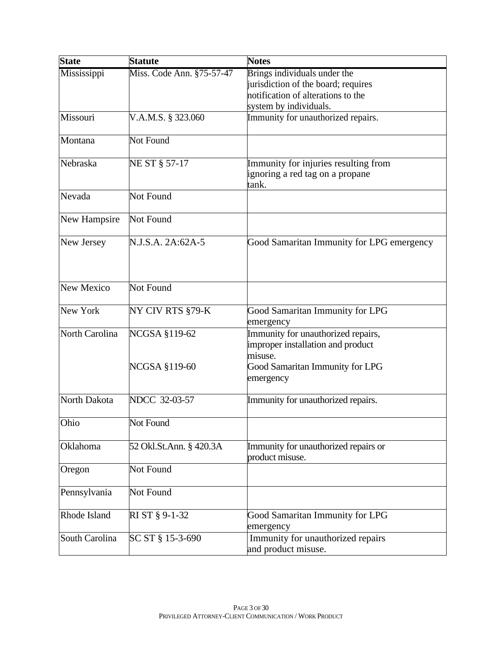| <b>State</b>      | <b>Statute</b>            | <b>Notes</b>                                                            |
|-------------------|---------------------------|-------------------------------------------------------------------------|
| Mississippi       | Miss. Code Ann. §75-57-47 | Brings individuals under the                                            |
|                   |                           | jurisdiction of the board; requires                                     |
|                   |                           | notification of alterations to the                                      |
|                   |                           | system by individuals.                                                  |
| Missouri          | V.A.M.S. § 323.060        | Immunity for unauthorized repairs.                                      |
| Montana           | Not Found                 |                                                                         |
| Nebraska          | NE ST § 57-17             | Immunity for injuries resulting from                                    |
|                   |                           | ignoring a red tag on a propane<br>tank.                                |
| Nevada            | Not Found                 |                                                                         |
| New Hampsire      | Not Found                 |                                                                         |
| New Jersey        | N.J.S.A. 2A:62A-5         | Good Samaritan Immunity for LPG emergency                               |
| <b>New Mexico</b> | <b>Not Found</b>          |                                                                         |
| New York          | NY CIV RTS §79-K          | Good Samaritan Immunity for LPG                                         |
|                   |                           | emergency                                                               |
| North Carolina    | <b>NCGSA §119-62</b>      | Immunity for unauthorized repairs,<br>improper installation and product |
|                   | NCGSA §119-60             | misuse.<br>Good Samaritan Immunity for LPG<br>emergency                 |
| North Dakota      | NDCC 32-03-57             | Immunity for unauthorized repairs.                                      |
| Ohio              | Not Found                 |                                                                         |
| Oklahoma          | 52 Okl.St.Ann. § 420.3A   | Immunity for unauthorized repairs or<br>product misuse.                 |
| Oregon            | Not Found                 |                                                                         |
| Pennsylvania      | Not Found                 |                                                                         |
| Rhode Island      | RI ST § 9-1-32            | Good Samaritan Immunity for LPG<br>emergency                            |
| South Carolina    | SC ST § 15-3-690          | Immunity for unauthorized repairs<br>and product misuse.                |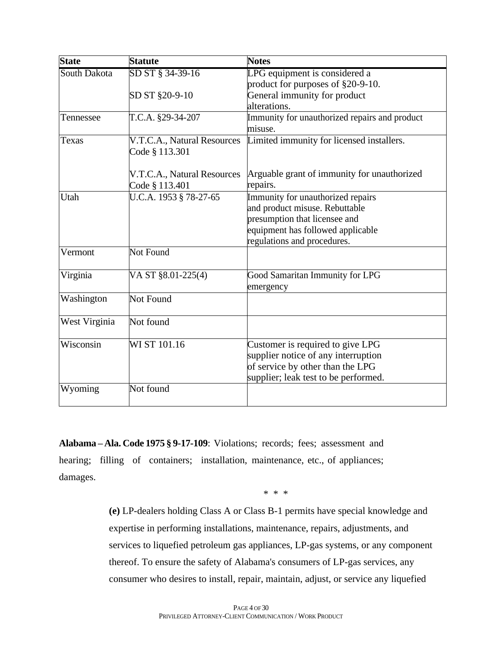| <b>State</b>  | <b>Statute</b>              | <b>Notes</b>                                  |
|---------------|-----------------------------|-----------------------------------------------|
| South Dakota  | SD ST § 34-39-16            | LPG equipment is considered a                 |
|               |                             | product for purposes of §20-9-10.             |
|               | SD ST §20-9-10              | General immunity for product                  |
|               |                             | alterations.                                  |
| Tennessee     | T.C.A. §29-34-207           | Immunity for unauthorized repairs and product |
|               |                             | misuse.                                       |
| Texas         | V.T.C.A., Natural Resources | Limited immunity for licensed installers.     |
|               | Code § 113.301              |                                               |
|               | V.T.C.A., Natural Resources | Arguable grant of immunity for unauthorized   |
|               | Code § 113.401              | repairs.                                      |
| Utah          | U.C.A. 1953 § 78-27-65      | Immunity for unauthorized repairs             |
|               |                             | and product misuse. Rebuttable                |
|               |                             | presumption that licensee and                 |
|               |                             | equipment has followed applicable             |
|               |                             | regulations and procedures.                   |
| Vermont       | Not Found                   |                                               |
|               |                             |                                               |
| Virginia      | VA ST §8.01-225(4)          | Good Samaritan Immunity for LPG               |
|               |                             | emergency                                     |
| Washington    | <b>Not Found</b>            |                                               |
|               |                             |                                               |
| West Virginia | Not found                   |                                               |
| Wisconsin     | WI ST 101.16                | Customer is required to give LPG              |
|               |                             | supplier notice of any interruption           |
|               |                             | of service by other than the LPG              |
|               |                             | supplier; leak test to be performed.          |
| Wyoming       | Not found                   |                                               |
|               |                             |                                               |

**Alabama – Ala. Code 1975 § 9-17-109**: Violations; records; fees; assessment and hearing; filling of containers; installation, maintenance, etc., of appliances; damages.

\* \* \*

**(e)** LP-dealers holding Class A or Class B-1 permits have special knowledge and expertise in performing installations, maintenance, repairs, adjustments, and services to liquefied petroleum gas appliances, LP-gas systems, or any component thereof. To ensure the safety of Alabama's consumers of LP-gas services, any consumer who desires to install, repair, maintain, adjust, or service any liquefied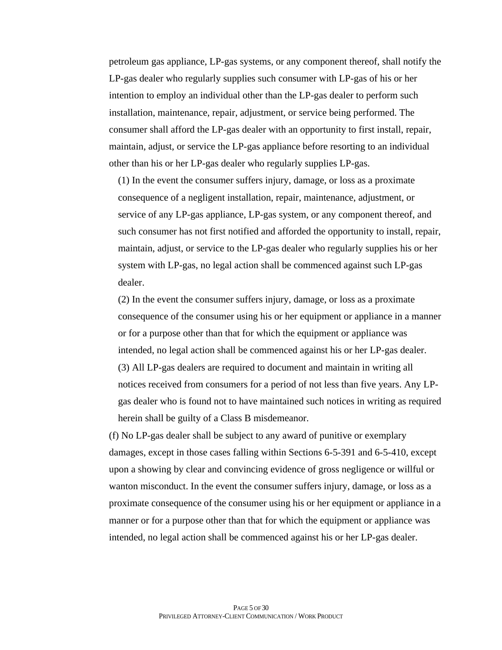petroleum gas appliance, LP-gas systems, or any component thereof, shall notify the LP-gas dealer who regularly supplies such consumer with LP-gas of his or her intention to employ an individual other than the LP-gas dealer to perform such installation, maintenance, repair, adjustment, or service being performed. The consumer shall afford the LP-gas dealer with an opportunity to first install, repair, maintain, adjust, or service the LP-gas appliance before resorting to an individual other than his or her LP-gas dealer who regularly supplies LP-gas.

(1) In the event the consumer suffers injury, damage, or loss as a proximate consequence of a negligent installation, repair, maintenance, adjustment, or service of any LP-gas appliance, LP-gas system, or any component thereof, and such consumer has not first notified and afforded the opportunity to install, repair, maintain, adjust, or service to the LP-gas dealer who regularly supplies his or her system with LP-gas, no legal action shall be commenced against such LP-gas dealer.

(2) In the event the consumer suffers injury, damage, or loss as a proximate consequence of the consumer using his or her equipment or appliance in a manner or for a purpose other than that for which the equipment or appliance was intended, no legal action shall be commenced against his or her LP-gas dealer. (3) All LP-gas dealers are required to document and maintain in writing all notices received from consumers for a period of not less than five years. Any LPgas dealer who is found not to have maintained such notices in writing as required herein shall be guilty of a Class B misdemeanor.

(f) No LP-gas dealer shall be subject to any award of punitive or exemplary damages, except in those cases falling within Sections 6-5-391 and 6-5-410, except upon a showing by clear and convincing evidence of gross negligence or willful or wanton misconduct. In the event the consumer suffers injury, damage, or loss as a proximate consequence of the consumer using his or her equipment or appliance in a manner or for a purpose other than that for which the equipment or appliance was intended, no legal action shall be commenced against his or her LP-gas dealer.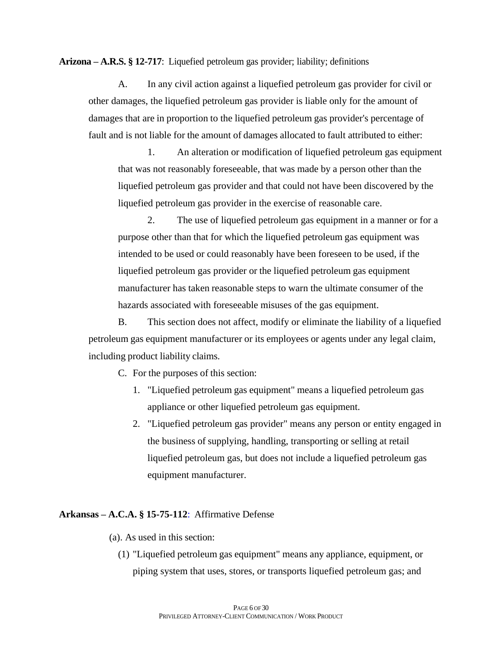**Arizona – A.R.S. § 12-717**: Liquefied petroleum gas provider; liability; definitions

A. In any civil action against a liquefied petroleum gas provider for civil or other damages, the liquefied petroleum gas provider is liable only for the amount of damages that are in proportion to the liquefied petroleum gas provider's percentage of fault and is not liable for the amount of damages allocated to fault attributed to either:

1. An alteration or modification of liquefied petroleum gas equipment that was not reasonably foreseeable, that was made by a person other than the liquefied petroleum gas provider and that could not have been discovered by the liquefied petroleum gas provider in the exercise of reasonable care.

2. The use of liquefied petroleum gas equipment in a manner or for a purpose other than that for which the liquefied petroleum gas equipment was intended to be used or could reasonably have been foreseen to be used, if the liquefied petroleum gas provider or the liquefied petroleum gas equipment manufacturer has taken reasonable steps to warn the ultimate consumer of the hazards associated with foreseeable misuses of the gas equipment.

B. This section does not affect, modify or eliminate the liability of a liquefied petroleum gas equipment manufacturer or its employees or agents under any legal claim, including product liability claims.

C. For the purposes of this section:

- 1. "Liquefied petroleum gas equipment" means a liquefied petroleum gas appliance or other liquefied petroleum gas equipment.
- 2. "Liquefied petroleum gas provider" means any person or entity engaged in the business of supplying, handling, transporting or selling at retail liquefied petroleum gas, but does not include a liquefied petroleum gas equipment manufacturer.

### **Arkansas – A.C.A. § 15-75-112**: Affirmative Defense

- (a). As used in this section:
	- (1) "Liquefied petroleum gas equipment" means any appliance, equipment, or piping system that uses, stores, or transports liquefied petroleum gas; and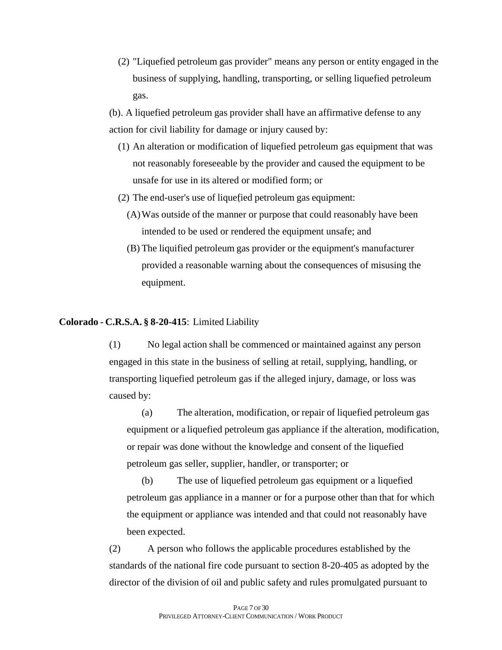(2) "Liquefied petroleum gas provider" means any person or entity engaged in the business of supplying, handling, transporting, or selling liquefied petroleum gas.

(b). A liquefied petroleum gas provider shall have an affirmative defense to any action for civil liability for damage or injury caused by:

- (1) An alteration or modification of liquefied petroleum gas equipment that was not reasonably foreseeable by the provider and caused the equipment to be unsafe for use in its altered or modified form; or
- (2) The end-user's use of liquefied petroleum gas equipment:
	- (A)Was outside of the manner or purpose that could reasonably have been intended to be used or rendered the equipment unsafe; and
	- (B) The liquified petroleum gas provider or the equipment's manufacturer provided a reasonable warning about the consequences of misusing the equipment.

**Colorado - C.R.S.A. § 8-20-415**: Limited Liability

(1) No legal action shall be commenced or maintained against any person engaged in this state in the business of selling at retail, supplying, handling, or transporting liquefied petroleum gas if the alleged injury, damage, or loss was caused by:

(a) The alteration, modification, or repair of liquefied petroleum gas equipment or a liquefied petroleum gas appliance if the alteration, modification, or repair was done without the knowledge and consent of the liquefied petroleum gas seller, supplier, handler, or transporter; or

(b) The use of liquefied petroleum gas equipment or a liquefied petroleum gas appliance in a manner or for a purpose other than that for which the equipment or appliance was intended and that could not reasonably have been expected.

(2) A person who follows the applicable procedures established by the standards of the national fire code pursuant to section 8-20-405 as adopted by the director of the division of oil and public safety and rules promulgated pursuant to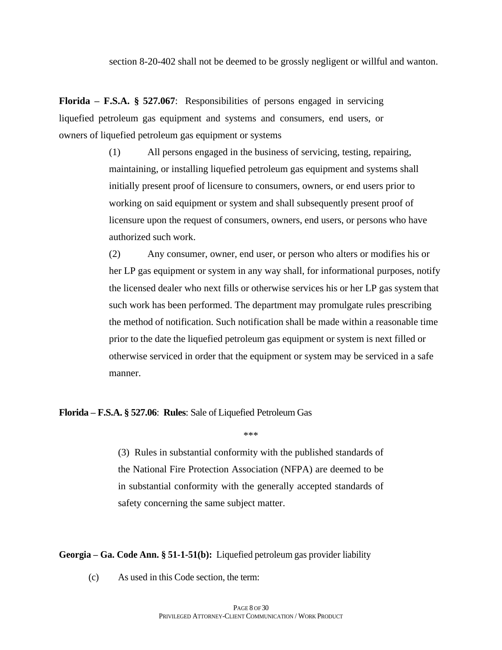section 8-20-402 shall not be deemed to be grossly negligent or willful and wanton.

**Florida – F.S.A. § 527.067**: Responsibilities of persons engaged in servicing liquefied petroleum gas equipment and systems and consumers, end users, or owners of liquefied petroleum gas equipment or systems

> (1) All persons engaged in the business of servicing, testing, repairing, maintaining, or installing liquefied petroleum gas equipment and systems shall initially present proof of licensure to consumers, owners, or end users prior to working on said equipment or system and shall subsequently present proof of licensure upon the request of consumers, owners, end users, or persons who have authorized such work.

(2) Any consumer, owner, end user, or person who alters or modifies his or her LP gas equipment or system in any way shall, for informational purposes, notify the licensed dealer who next fills or otherwise services his or her LP gas system that such work has been performed. The department may promulgate rules prescribing the method of notification. Such notification shall be made within a reasonable time prior to the date the liquefied petroleum gas equipment or system is next filled or otherwise serviced in order that the equipment or system may be serviced in a safe manner.

**Florida – F.S.A. § 527.06**: **Rules**: Sale of Liquefied Petroleum Gas

\*\*\*

(3) Rules in substantial conformity with the published standards of the National Fire Protection Association (NFPA) are deemed to be in substantial conformity with the generally accepted standards of safety concerning the same subject matter.

**Georgia – Ga. Code Ann. § 51-1-51(b):** Liquefied petroleum gas provider liability

(c) As used in this Code section, the term: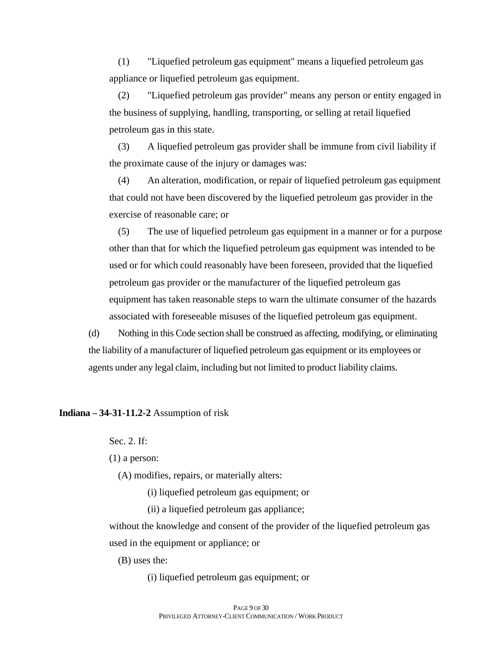(1) "Liquefied petroleum gas equipment" means a liquefied petroleum gas appliance or liquefied petroleum gas equipment.

(2) "Liquefied petroleum gas provider" means any person or entity engaged in the business of supplying, handling, transporting, or selling at retail liquefied petroleum gas in this state.

(3) A liquefied petroleum gas provider shall be immune from civil liability if the proximate cause of the injury or damages was:

(4) An alteration, modification, or repair of liquefied petroleum gas equipment that could not have been discovered by the liquefied petroleum gas provider in the exercise of reasonable care; or

(5) The use of liquefied petroleum gas equipment in a manner or for a purpose other than that for which the liquefied petroleum gas equipment was intended to be used or for which could reasonably have been foreseen, provided that the liquefied petroleum gas provider or the manufacturer of the liquefied petroleum gas equipment has taken reasonable steps to warn the ultimate consumer of the hazards associated with foreseeable misuses of the liquefied petroleum gas equipment.

(d) Nothing in this Code section shall be construed as affecting, modifying, or eliminating the liability of a manufacturer of liquefied petroleum gas equipment or its employees or agents under any legal claim, including but not limited to product liability claims.

**Indiana – 34-31-11.2-2** Assumption of risk

Sec. 2. If:

(1) a person:

(A) modifies, repairs, or materially alters:

(i) liquefied petroleum gas equipment; or

(ii) a liquefied petroleum gas appliance;

without the knowledge and consent of the provider of the liquefied petroleum gas used in the equipment or appliance; or

(B) uses the:

(i) liquefied petroleum gas equipment; or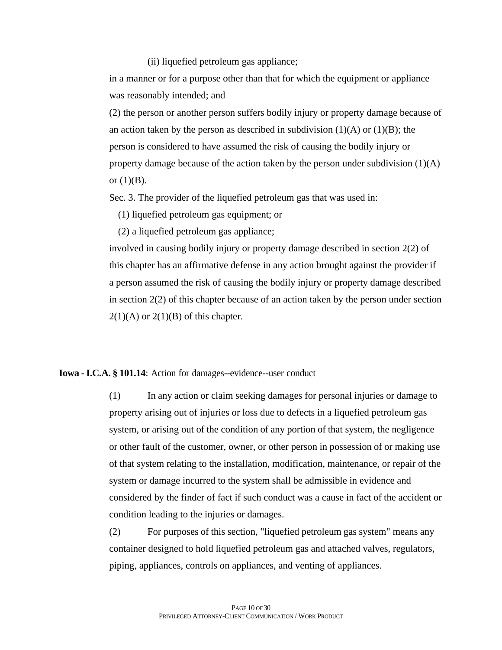### (ii) liquefied petroleum gas appliance;

in a manner or for a purpose other than that for which the equipment or appliance was reasonably intended; and

(2) the person or another person suffers bodily injury or property damage because of an action taken by the person as described in subdivision  $(1)(A)$  or  $(1)(B)$ ; the person is considered to have assumed the risk of causing the bodily injury or property damage because of the action taken by the person under subdivision (1)(A) or  $(1)(B)$ .

Sec. 3. The provider of the liquefied petroleum gas that was used in:

(1) liquefied petroleum gas equipment; or

(2) a liquefied petroleum gas appliance;

involved in causing bodily injury or property damage described in [section 2\(2\)](https://1.next.westlaw.com/Link/Document/FullText?findType=L&pubNum=1000009&cite=INS34-31-11.2-2&originatingDoc=N313EACE0050311E5BAE48088B05B4B21&refType=SP&originationContext=document&transitionType=DocumentItem&ppcid=cdb49ee1614a408aa009d2373a71ff28&contextData=(sc.Document)#co_pp_58730000872b1) of this chapter has an affirmative defense in any action brought against the provider if a person assumed the risk of causing the bodily injury or property damage described in [section](https://1.next.westlaw.com/Link/Document/FullText?findType=L&pubNum=1000009&cite=INS34-31-11.2-2&originatingDoc=N313EACE0050311E5BAE48088B05B4B21&refType=SP&originationContext=document&transitionType=DocumentItem&ppcid=cdb49ee1614a408aa009d2373a71ff28&contextData=(sc.Document)#co_pp_957e0000bdb05)  $2(2)$  of this chapter because of an action taken by the person under section  $2(1)(A)$  or  $2(1)(B)$  of this chapter.

## **Iowa -I.C.A. § 101.14**: Action for damages--evidence--user conduct

(1) In any action or claim seeking damages for personal injuries or damage to property arising out of injuries or loss due to defects in a liquefied petroleum gas system, or arising out of the condition of any portion of that system, the negligence or other fault of the customer, owner, or other person in possession of or making use of that system relating to the installation, modification, maintenance, or repair of the system or damage incurred to the system shall be admissible in evidence and considered by the finder of fact if such conduct was a cause in fact of the accident or condition leading to the injuries or damages.

(2) For purposes of this section, "liquefied petroleum gas system" means any container designed to hold liquefied petroleum gas and attached valves, regulators, piping, appliances, controls on appliances, and venting of appliances.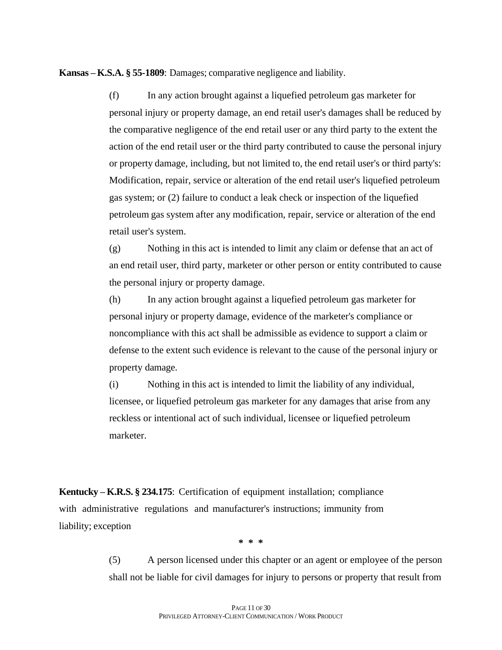**Kansas – K.S.A. § 55-1809**: Damages; comparative negligence and liability.

(f) In any action brought against a liquefied petroleum gas marketer for personal injury or property damage, an end retail user's damages shall be reduced by the comparative negligence of the end retail user or any third party to the extent the action of the end retail user or the third party contributed to cause the personal injury or property damage, including, but not limited to, the end retail user's or third party's: Modification, repair, service or alteration of the end retail user's liquefied petroleum gas system; or (2) failure to conduct a leak check or inspection of the liquefied petroleum gas system after any modification, repair, service or alteration of the end retail user's system.

(g) Nothing in this act is intended to limit any claim or defense that an act of an end retail user, third party, marketer or other person or entity contributed to cause the personal injury or property damage.

(h) In any action brought against a liquefied petroleum gas marketer for personal injury or property damage, evidence of the marketer's compliance or noncompliance with this act shall be admissible as evidence to support a claim or defense to the extent such evidence is relevant to the cause of the personal injury or property damage.

(i) Nothing in this act is intended to limit the liability of any individual, licensee, or liquefied petroleum gas marketer for any damages that arise from any reckless or intentional act of such individual, licensee or liquefied petroleum marketer.

**Kentucky – K.R.S. § 234.175**: Certification of equipment installation; compliance with administrative regulations and manufacturer's instructions; immunity from liability; exception

**\* \* \***

(5) A person licensed under this chapter or an agent or employee of the person shall not be liable for civil damages for injury to persons or property that result from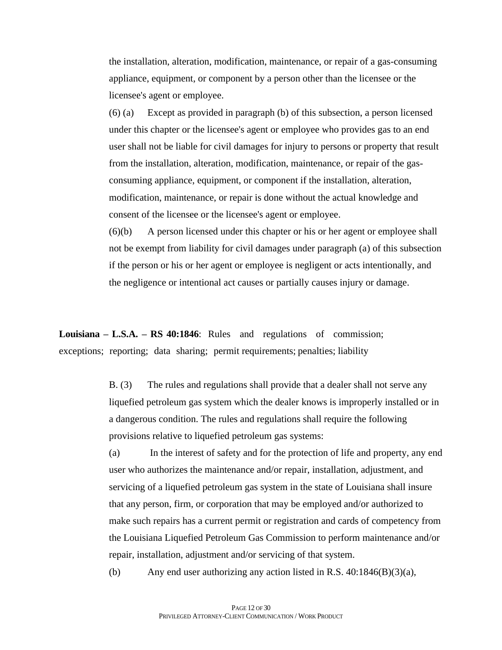the installation, alteration, modification, maintenance, or repair of a gas-consuming appliance, equipment, or component by a person other than the licensee or the licensee's agent or employee.

(6) (a) Except as provided in paragraph (b) of this subsection, a person licensed under this chapter or the licensee's agent or employee who provides gas to an end user shall not be liable for civil damages for injury to persons or property that result from the installation, alteration, modification, maintenance, or repair of the gasconsuming appliance, equipment, or component if the installation, alteration, modification, maintenance, or repair is done without the actual knowledge and consent of the licensee or the licensee's agent or employee.

(6)(b) A person licensed under this chapter or his or her agent or employee shall not be exempt from liability for civil damages under paragraph (a) of this subsection if the person or his or her agent or employee is negligent or acts intentionally, and the negligence or intentional act causes or partially causes injury or damage.

**Louisiana – L.S.A. – RS 40:1846**: Rules and regulations of commission; exceptions; reporting; data sharing; permit requirements; penalties; liability

> B. (3) The rules and regulations shall provide that a dealer shall not serve any liquefied petroleum gas system which the dealer knows is improperly installed or in a dangerous condition. The rules and regulations shall require the following provisions relative to liquefied petroleum gas systems:

(a) In the interest of safety and for the protection of life and property, any end user who authorizes the maintenance and/or repair, installation, adjustment, and servicing of a liquefied petroleum gas system in the state of Louisiana shall insure that any person, firm, or corporation that may be employed and/or authorized to make such repairs has a current permit or registration and cards of competency from the Louisiana Liquefied Petroleum Gas Commission to perform maintenance and/or repair, installation, adjustment and/or servicing of that system.

(b) Any end user authorizing any action listed in R.S.  $40:1846(B)(3)(a)$ ,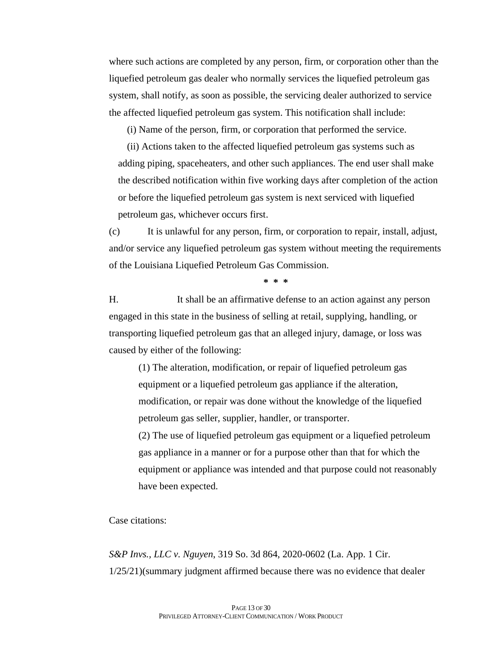where such actions are completed by any person, firm, or corporation other than the liquefied petroleum gas dealer who normally services the liquefied petroleum gas system, shall notify, as soon as possible, the servicing dealer authorized to service the affected liquefied petroleum gas system. This notification shall include:

(i) Name of the person, firm, or corporation that performed the service.

(ii) Actions taken to the affected liquefied petroleum gas systems such as adding piping, spaceheaters, and other such appliances. The end user shall make the described notification within five working days after completion of the action or before the liquefied petroleum gas system is next serviced with liquefied petroleum gas, whichever occurs first.

(c) It is unlawful for any person, firm, or corporation to repair, install, adjust, and/or service any liquefied petroleum gas system without meeting the requirements of the Louisiana Liquefied Petroleum Gas Commission.

**\* \* \***

H. It shall be an affirmative defense to an action against any person engaged in this state in the business of selling at retail, supplying, handling, or transporting liquefied petroleum gas that an alleged injury, damage, or loss was caused by either of the following:

(1) The alteration, modification, or repair of liquefied petroleum gas equipment or a liquefied petroleum gas appliance if the alteration, modification, or repair was done without the knowledge of the liquefied petroleum gas seller, supplier, handler, or transporter.

(2) The use of liquefied petroleum gas equipment or a liquefied petroleum gas appliance in a manner or for a purpose other than that for which the equipment or appliance was intended and that purpose could not reasonably have been expected.

Case citations:

*S&P Invs., LLC v. Nguyen*, 319 So. 3d 864, 2020-0602 (La. App. 1 Cir. 1/25/21)(summary judgment affirmed because there was no evidence that dealer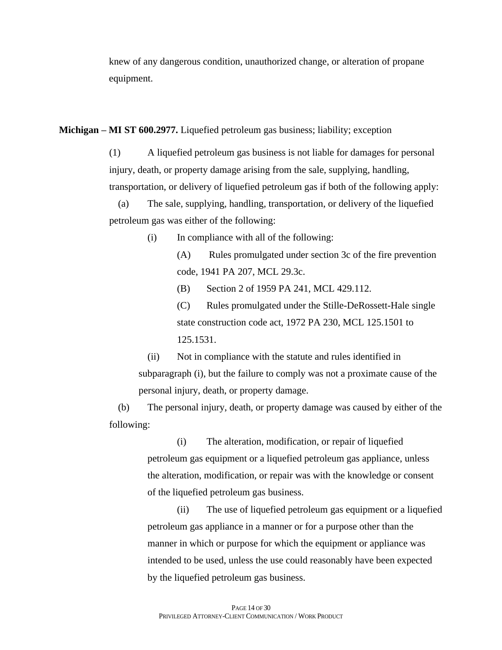knew of any dangerous condition, unauthorized change, or alteration of propane equipment.

**Michigan – MI ST 600.2977.** Liquefied petroleum gas business; liability; exception

(1) A liquefied petroleum gas business is not liable for damages for personal injury, death, or property damage arising from the sale, supplying, handling, transportation, or delivery of liquefied petroleum gas if both of the following apply:

(a) The sale, supplying, handling, transportation, or delivery of the liquefied petroleum gas was either of the following:

(i) In compliance with all of the following:

(A) Rules promulgated under section 3c of the fire prevention code, 1941 PA 207, MCL 29.3c.

(B) Section 2 of 1959 PA 241, MCL 429.112.

(C) Rules promulgated under the Stille-DeRossett-Hale single state construction code act, 1972 PA 230, MCL 125.1501 to 125.1531.

(ii) Not in compliance with the statute and rules identified in subparagraph (i), but the failure to comply was not a proximate cause of the personal injury, death, or property damage.

(b) The personal injury, death, or property damage was caused by either of the following:

> (i) The alteration, modification, or repair of liquefied petroleum gas equipment or a liquefied petroleum gas appliance, unless the alteration, modification, or repair was with the knowledge or consent of the liquefied petroleum gas business.

(ii) The use of liquefied petroleum gas equipment or a liquefied petroleum gas appliance in a manner or for a purpose other than the manner in which or purpose for which the equipment or appliance was intended to be used, unless the use could reasonably have been expected by the liquefied petroleum gas business.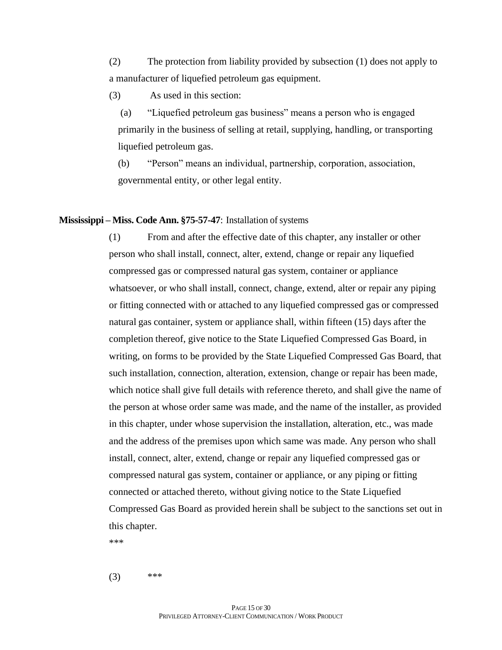(2) The protection from liability provided by subsection (1) does not apply to a manufacturer of liquefied petroleum gas equipment.

(3) As used in this section:

(a) "Liquefied petroleum gas business" means a person who is engaged primarily in the business of selling at retail, supplying, handling, or transporting liquefied petroleum gas.

(b) "Person" means an individual, partnership, corporation, association, governmental entity, or other legal entity.

### **Mississippi – Miss. Code Ann. §75-57-47**: Installation of systems

(1) From and after the effective date of this chapter, any installer or other person who shall install, connect, alter, extend, change or repair any liquefied compressed gas or compressed natural gas system, container or appliance whatsoever, or who shall install, connect, change, extend, alter or repair any piping or fitting connected with or attached to any liquefied compressed gas or compressed natural gas container, system or appliance shall, within fifteen (15) days after the completion thereof, give notice to the State Liquefied Compressed Gas Board, in writing, on forms to be provided by the State Liquefied Compressed Gas Board, that such installation, connection, alteration, extension, change or repair has been made, which notice shall give full details with reference thereto, and shall give the name of the person at whose order same was made, and the name of the installer, as provided in this chapter, under whose supervision the installation, alteration, etc., was made and the address of the premises upon which same was made. Any person who shall install, connect, alter, extend, change or repair any liquefied compressed gas or compressed natural gas system, container or appliance, or any piping or fitting connected or attached thereto, without giving notice to the State Liquefied Compressed Gas Board as provided herein shall be subject to the sanctions set out in this chapter.

\*\*\*

 $(3)$  \*\*\*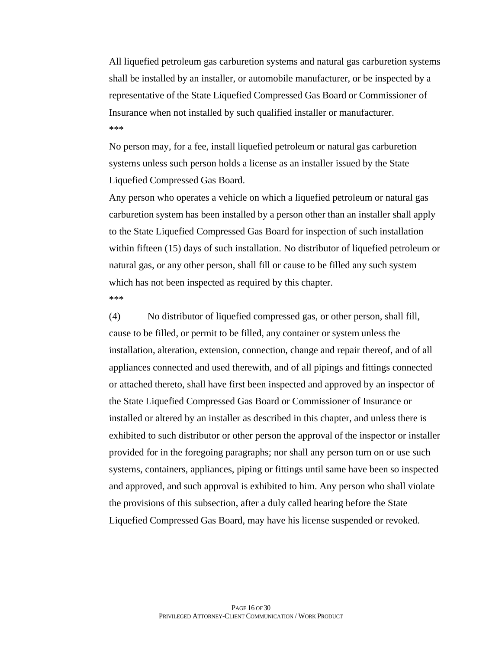All liquefied petroleum gas carburetion systems and natural gas carburetion systems shall be installed by an installer, or automobile manufacturer, or be inspected by a representative of the State Liquefied Compressed Gas Board or Commissioner of Insurance when not installed by such qualified installer or manufacturer. \*\*\*

No person may, for a fee, install liquefied petroleum or natural gas carburetion systems unless such person holds a license as an installer issued by the State Liquefied Compressed Gas Board.

Any person who operates a vehicle on which a liquefied petroleum or natural gas carburetion system has been installed by a person other than an installer shall apply to the State Liquefied Compressed Gas Board for inspection of such installation within fifteen (15) days of such installation. No distributor of liquefied petroleum or natural gas, or any other person, shall fill or cause to be filled any such system which has not been inspected as required by this chapter. \*\*\*

(4) No distributor of liquefied compressed gas, or other person, shall fill, cause to be filled, or permit to be filled, any container or system unless the installation, alteration, extension, connection, change and repair thereof, and of all appliances connected and used therewith, and of all pipings and fittings connected or attached thereto, shall have first been inspected and approved by an inspector of the State Liquefied Compressed Gas Board or Commissioner of Insurance or installed or altered by an installer as described in this chapter, and unless there is exhibited to such distributor or other person the approval of the inspector or installer provided for in the foregoing paragraphs; nor shall any person turn on or use such systems, containers, appliances, piping or fittings until same have been so inspected and approved, and such approval is exhibited to him. Any person who shall violate the provisions of this subsection, after a duly called hearing before the State Liquefied Compressed Gas Board, may have his license suspended or revoked.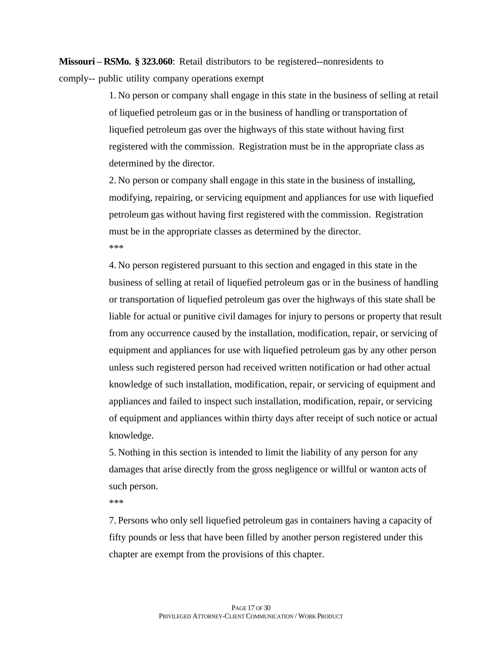**Missouri – RSMo. § 323.060**: Retail distributors to be registered--nonresidents to comply-- public utility company operations exempt

> 1. No person or company shall engage in this state in the business of selling at retail of liquefied petroleum gas or in the business of handling or transportation of liquefied petroleum gas over the highways of this state without having first registered with the commission. Registration must be in the appropriate class as determined by the director.

2. No person or company shall engage in this state in the business of installing, modifying, repairing, or servicing equipment and appliances for use with liquefied petroleum gas without having first registered with the commission. Registration must be in the appropriate classes as determined by the director. \*\*\*

4. No person registered pursuant to this section and engaged in this state in the business of selling at retail of liquefied petroleum gas or in the business of handling or transportation of liquefied petroleum gas over the highways of this state shall be liable for actual or punitive civil damages for injury to persons or property that result from any occurrence caused by the installation, modification, repair, or servicing of equipment and appliances for use with liquefied petroleum gas by any other person unless such registered person had received written notification or had other actual knowledge of such installation, modification, repair, or servicing of equipment and appliances and failed to inspect such installation, modification, repair, or servicing of equipment and appliances within thirty days after receipt of such notice or actual knowledge.

5. Nothing in this section is intended to limit the liability of any person for any damages that arise directly from the gross negligence or willful or wanton acts of such person.

\*\*\*

7. Persons who only sell liquefied petroleum gas in containers having a capacity of fifty pounds or less that have been filled by another person registered under this chapter are exempt from the provisions of this chapter.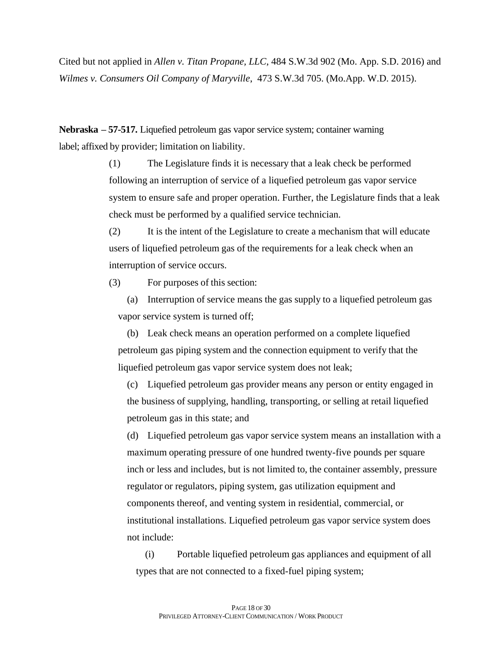Cited but not applied in *Allen v. Titan Propane, LLC*, 484 S.W.3d 902 (Mo. App. S.D. 2016) and *Wilmes v. Consumers Oil Company of Maryville*, 473 S.W.3d 705. (Mo.App. W.D. 2015).

**Nebraska – 57-517.** Liquefied petroleum gas vapor service system; container warning label; affixed by provider; limitation on liability.

> (1) The Legislature finds it is necessary that a leak check be performed following an interruption of service of a liquefied petroleum gas vapor service system to ensure safe and proper operation. Further, the Legislature finds that a leak check must be performed by a qualified service technician.

(2) It is the intent of the Legislature to create a mechanism that will educate users of liquefied petroleum gas of the requirements for a leak check when an interruption of service occurs.

(3) For purposes of this section:

(a) Interruption of service means the gas supply to a liquefied petroleum gas vapor service system is turned off;

(b) Leak check means an operation performed on a complete liquefied petroleum gas piping system and the connection equipment to verify that the liquefied petroleum gas vapor service system does not leak;

(c) Liquefied petroleum gas provider means any person or entity engaged in the business of supplying, handling, transporting, or selling at retail liquefied petroleum gas in this state; and

(d) Liquefied petroleum gas vapor service system means an installation with a maximum operating pressure of one hundred twenty-five pounds per square inch or less and includes, but is not limited to, the container assembly, pressure regulator or regulators, piping system, gas utilization equipment and components thereof, and venting system in residential, commercial, or institutional installations. Liquefied petroleum gas vapor service system does not include:

(i) Portable liquefied petroleum gas appliances and equipment of all types that are not connected to a fixed-fuel piping system;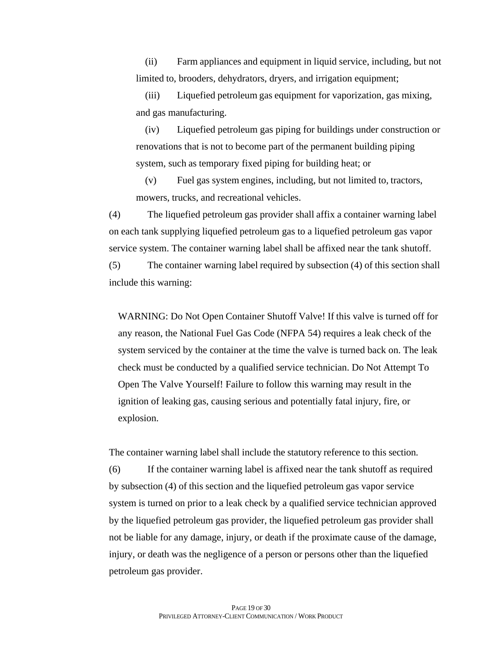(ii) Farm appliances and equipment in liquid service, including, but not limited to, brooders, dehydrators, dryers, and irrigation equipment;

(iii) Liquefied petroleum gas equipment for vaporization, gas mixing, and gas manufacturing.

(iv) Liquefied petroleum gas piping for buildings under construction or renovations that is not to become part of the permanent building piping system, such as temporary fixed piping for building heat; or

(v) Fuel gas system engines, including, but not limited to, tractors, mowers, trucks, and recreational vehicles.

(4) The liquefied petroleum gas provider shall affix a container warning label on each tank supplying liquefied petroleum gas to a liquefied petroleum gas vapor service system. The container warning label shall be affixed near the tank shutoff.

(5) The container warning label required by subsection (4) of this section shall include this warning:

WARNING: Do Not Open Container Shutoff Valve! If this valve is turned off for any reason, the National Fuel Gas Code (NFPA 54) requires a leak check of the system serviced by the container at the time the valve is turned back on. The leak check must be conducted by a qualified service technician. Do Not Attempt To Open The Valve Yourself! Failure to follow this warning may result in the ignition of leaking gas, causing serious and potentially fatal injury, fire, or explosion.

The container warning label shall include the statutory reference to this section.

(6) If the container warning label is affixed near the tank shutoff as required by subsection (4) of this section and the liquefied petroleum gas vapor service system is turned on prior to a leak check by a qualified service technician approved by the liquefied petroleum gas provider, the liquefied petroleum gas provider shall not be liable for any damage, injury, or death if the proximate cause of the damage, injury, or death was the negligence of a person or persons other than the liquefied petroleum gas provider.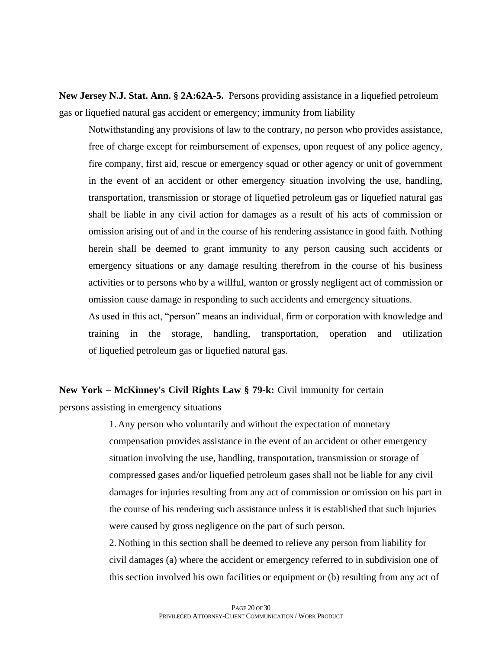**New Jersey N.J. Stat. Ann. § 2A:62A-5.** Persons providing assistance in a liquefied petroleum gas or liquefied natural gas accident or emergency; immunity from liability

Notwithstanding any provisions of law to the contrary, no person who provides assistance, free of charge except for reimbursement of expenses, upon request of any police agency, fire company, first aid, rescue or emergency squad or other agency or unit of government in the event of an accident or other emergency situation involving the use, handling, transportation, transmission or storage of liquefied petroleum gas or liquefied natural gas shall be liable in any civil action for damages as a result of his acts of commission or omission arising out of and in the course of his rendering assistance in good faith. Nothing herein shall be deemed to grant immunity to any person causing such accidents or emergency situations or any damage resulting therefrom in the course of his business activities or to persons who by a willful, wanton or grossly negligent act of commission or omission cause damage in responding to such accidents and emergency situations.

As used in this act, "person" means an individual, firm or corporation with knowledge and training in the storage, handling, transportation, operation and utilization of liquefied petroleum gas or liquefied natural gas.

# **New York – McKinney's Civil Rights Law § 79-k:** Civil immunity for certain

persons assisting in emergency situations

1. Any person who voluntarily and without the expectation of monetary compensation provides assistance in the event of an accident or other emergency situation involving the use, handling, transportation, transmission or storage of compressed gases and/or liquefied petroleum gases shall not be liable for any civil damages for injuries resulting from any act of commission or omission on his part in the course of his rendering such assistance unless it is established that such injuries were caused by gross negligence on the part of such person.

2. Nothing in this section shall be deemed to relieve any person from liability for civil damages (a) where the accident or emergency referred to in subdivision one of this section involved his own facilities or equipment or (b) resulting from any act of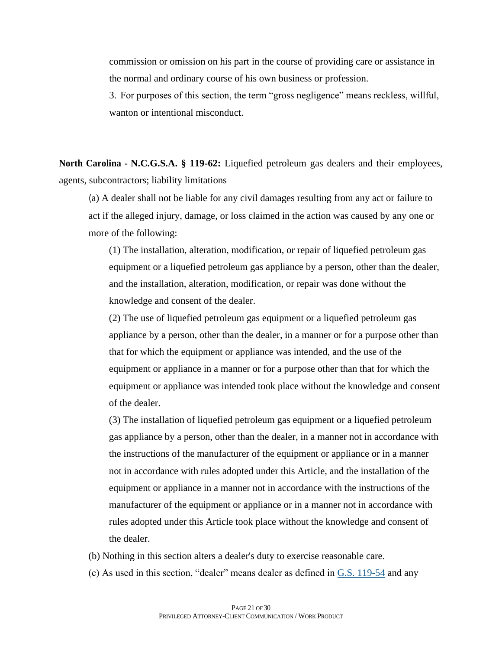commission or omission on his part in the course of providing care or assistance in the normal and ordinary course of his own business or profession.

3. For purposes of this section, the term "gross negligence" means reckless, willful, wanton or intentional misconduct.

**North Carolina - N.C.G.S.A. § 119-62:** Liquefied petroleum gas dealers and their employees, agents, subcontractors; liability limitations

(a) A dealer shall not be liable for any civil damages resulting from any act or failure to act if the alleged injury, damage, or loss claimed in the action was caused by any one or more of the following:

(1) The installation, alteration, modification, or repair of liquefied petroleum gas equipment or a liquefied petroleum gas appliance by a person, other than the dealer, and the installation, alteration, modification, or repair was done without the knowledge and consent of the dealer.

(2) The use of liquefied petroleum gas equipment or a liquefied petroleum gas appliance by a person, other than the dealer, in a manner or for a purpose other than that for which the equipment or appliance was intended, and the use of the equipment or appliance in a manner or for a purpose other than that for which the equipment or appliance was intended took place without the knowledge and consent of the dealer.

(3) The installation of liquefied petroleum gas equipment or a liquefied petroleum gas appliance by a person, other than the dealer, in a manner not in accordance with the instructions of the manufacturer of the equipment or appliance or in a manner not in accordance with rules adopted under this Article, and the installation of the equipment or appliance in a manner not in accordance with the instructions of the manufacturer of the equipment or appliance or in a manner not in accordance with rules adopted under this Article took place without the knowledge and consent of the dealer.

- (b) Nothing in this section alters a dealer's duty to exercise reasonable care.
- (c) As used in this section, "dealer" means dealer as defined in  $G.S.$  [119-54](https://1.next.westlaw.com/Link/Document/FullText?findType=L&pubNum=1000037&cite=NCSTS119-54&originatingDoc=NC8B50E50685511DCA723B741DE71D931&refType=LQ&originationContext=document&transitionType=DocumentItem&ppcid=05f18b08b64141fc9d37be0d834e5adf&contextData=(sc.Document)) and any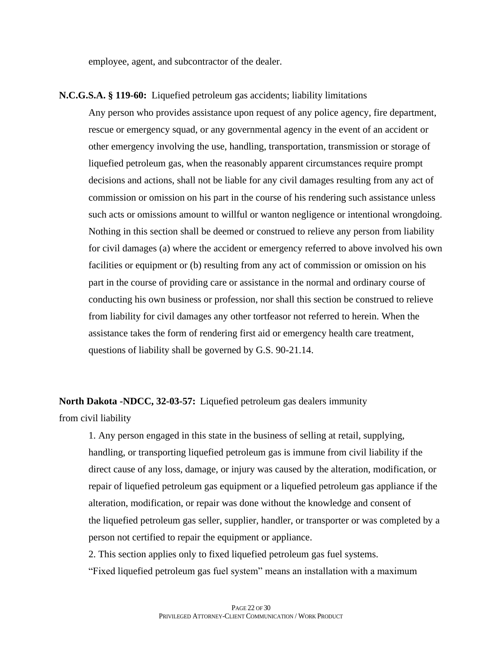employee, agent, and subcontractor of the dealer.

## **N.C.G.S.A. § 119-60:** Liquefied petroleum gas accidents; liability limitations

Any person who provides assistance upon request of any police agency, fire department, rescue or emergency squad, or any governmental agency in the event of an accident or other emergency involving the use, handling, transportation, transmission or storage of liquefied petroleum gas, when the reasonably apparent circumstances require prompt decisions and actions, shall not be liable for any civil damages resulting from any act of commission or omission on his part in the course of his rendering such assistance unless such acts or omissions amount to willful or wanton negligence or intentional wrongdoing. Nothing in this section shall be deemed or construed to relieve any person from liability for civil damages (a) where the accident or emergency referred to above involved his own facilities or equipment or (b) resulting from any act of commission or omission on his part in the course of providing care or assistance in the normal and ordinary course of conducting his own business or profession, nor shall this section be construed to relieve from liability for civil damages any other tortfeasor not referred to herein. When the assistance takes the form of rendering first aid or emergency health care treatment, questions of liability shall be governed by G.S. 90-21.14.

**North Dakota -NDCC, 32-03-57:** Liquefied petroleum gas dealers immunity

from civil liability

1. Any person engaged in this state in the business of selling at retail, supplying, handling, or transporting liquefied petroleum gas is immune from civil liability if the direct cause of any loss, damage, or injury was caused by the alteration, modification, or repair of liquefied petroleum gas equipment or a liquefied petroleum gas appliance if the alteration, modification, or repair was done without the knowledge and consent of the liquefied petroleum gas seller, supplier, handler, or transporter or was completed by a person not certified to repair the equipment or appliance.

2. This section applies only to fixed liquefied petroleum gas fuel systems.

"Fixed liquefied petroleum gas fuel system" means an installation with a maximum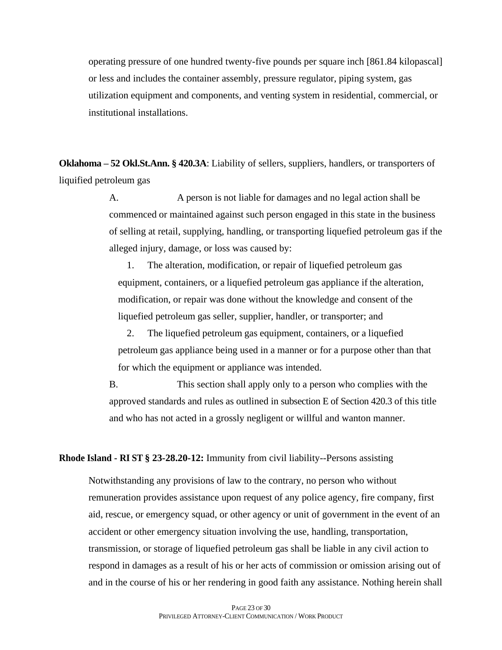operating pressure of one hundred twenty-five pounds per square inch [861.84 kilopascal] or less and includes the container assembly, pressure regulator, piping system, gas utilization equipment and components, and venting system in residential, commercial, or institutional installations.

**Oklahoma – 52 Okl.St.Ann. § 420.3A**: Liability of sellers, suppliers, handlers, or transporters of liquified petroleum gas

> A. A person is not liable for damages and no legal action shall be commenced or maintained against such person engaged in this state in the business of selling at retail, supplying, handling, or transporting liquefied petroleum gas if the alleged injury, damage, or loss was caused by:

1. The alteration, modification, or repair of liquefied petroleum gas equipment, containers, or a liquefied petroleum gas appliance if the alteration, modification, or repair was done without the knowledge and consent of the liquefied petroleum gas seller, supplier, handler, or transporter; and

2. The liquefied petroleum gas equipment, containers, or a liquefied petroleum gas appliance being used in a manner or for a purpose other than that for which the equipment or appliance was intended.

B. This section shall apply only to a person who complies with the approved standards and rules as outlined in subsection E of Section 420.3 of this title and who has not acted in a grossly negligent or willful and wanton manner.

## **Rhode Island - RI ST § 23-28.20-12:** Immunity from civil liability--Persons assisting

Notwithstanding any provisions of law to the contrary, no person who without remuneration provides assistance upon request of any police agency, fire company, first aid, rescue, or emergency squad, or other agency or unit of government in the event of an accident or other emergency situation involving the use, handling, transportation, transmission, or storage of liquefied petroleum gas shall be liable in any civil action to respond in damages as a result of his or her acts of commission or omission arising out of and in the course of his or her rendering in good faith any assistance. Nothing herein shall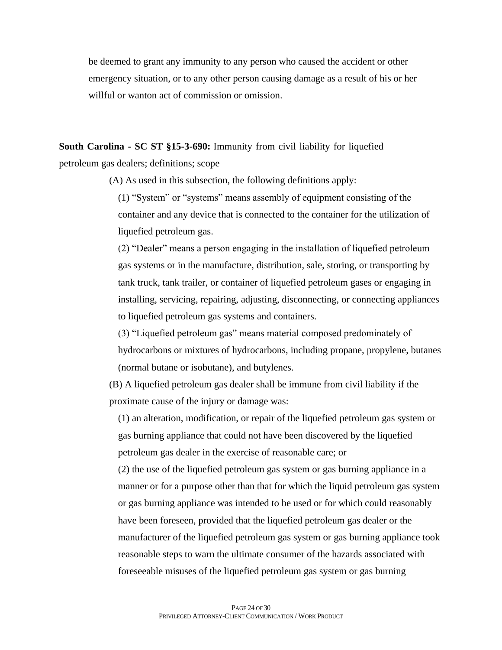be deemed to grant any immunity to any person who caused the accident or other emergency situation, or to any other person causing damage as a result of his or her willful or wanton act of commission or omission.

**South Carolina - SC ST §15-3-690:** Immunity from civil liability for liquefied petroleum gas dealers; definitions; scope

(A) As used in this subsection, the following definitions apply:

(1) "System" or "systems" means assembly of equipment consisting of the container and any device that is connected to the container for the utilization of liquefied petroleum gas.

(2) "Dealer" means a person engaging in the installation of liquefied petroleum gas systems or in the manufacture, distribution, sale, storing, or transporting by tank truck, tank trailer, or container of liquefied petroleum gases or engaging in installing, servicing, repairing, adjusting, disconnecting, or connecting appliances to liquefied petroleum gas systems and containers.

(3) "Liquefied petroleum gas" means material composed predominately of hydrocarbons or mixtures of hydrocarbons, including propane, propylene, butanes (normal butane or isobutane), and butylenes.

(B) A liquefied petroleum gas dealer shall be immune from civil liability if the proximate cause of the injury or damage was:

(1) an alteration, modification, or repair of the liquefied petroleum gas system or gas burning appliance that could not have been discovered by the liquefied petroleum gas dealer in the exercise of reasonable care; or

(2) the use of the liquefied petroleum gas system or gas burning appliance in a manner or for a purpose other than that for which the liquid petroleum gas system or gas burning appliance was intended to be used or for which could reasonably have been foreseen, provided that the liquefied petroleum gas dealer or the manufacturer of the liquefied petroleum gas system or gas burning appliance took reasonable steps to warn the ultimate consumer of the hazards associated with foreseeable misuses of the liquefied petroleum gas system or gas burning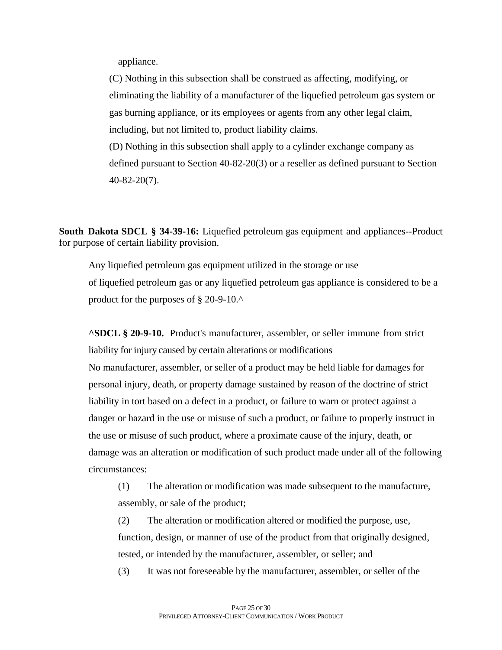appliance.

(C) Nothing in this subsection shall be construed as affecting, modifying, or eliminating the liability of a manufacturer of the liquefied petroleum gas system or gas burning appliance, or its employees or agents from any other legal claim, including, but not limited to, product liability claims.

(D) Nothing in this subsection shall apply to a cylinder exchange company as defined pursuant to Section 40-82-20(3) or a reseller as defined pursuant to Section 40-82-20(7).

**South Dakota SDCL § 34-39-16:** Liquefied petroleum gas equipment and appliances--Product for purpose of certain liability provision.

Any liquefied petroleum gas equipment utilized in the storage or use of liquefied petroleum gas or any liquefied petroleum gas appliance is considered to be a product for the purposes of § 20-9-10.^

**^SDCL § 20-9-10.** Product's manufacturer, assembler, or seller immune from strict liability for injury caused by certain alterations or modifications

No manufacturer, assembler, or seller of a product may be held liable for damages for personal injury, death, or property damage sustained by reason of the doctrine of strict liability in tort based on a defect in a product, or failure to warn or protect against a danger or hazard in the use or misuse of such a product, or failure to properly instruct in the use or misuse of such product, where a proximate cause of the injury, death, or damage was an alteration or modification of such product made under all of the following circumstances:

(1) The alteration or modification was made subsequent to the manufacture, assembly, or sale of the product;

(2) The alteration or modification altered or modified the purpose, use, function, design, or manner of use of the product from that originally designed, tested, or intended by the manufacturer, assembler, or seller; and

(3) It was not foreseeable by the manufacturer, assembler, or seller of the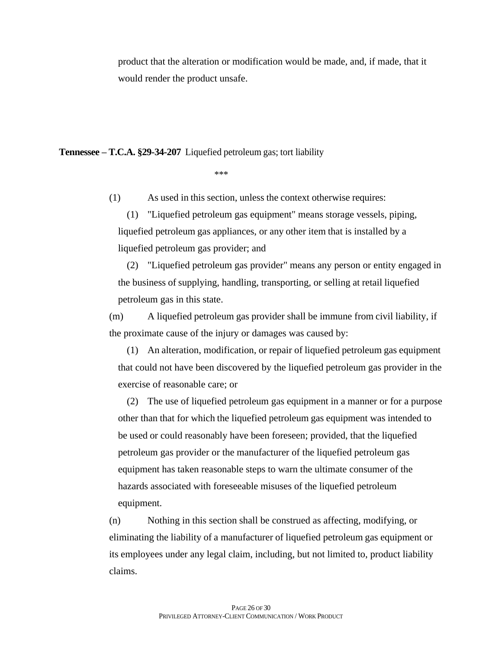product that the alteration or modification would be made, and, if made, that it would render the product unsafe.

**Tennessee – T.C.A. §29-34-207** Liquefied petroleum gas; tort liability

\*\*\*

(1) As used in this section, unless the context otherwise requires:

(1) "Liquefied petroleum gas equipment" means storage vessels, piping, liquefied petroleum gas appliances, or any other item that is installed by a liquefied petroleum gas provider; and

(2) "Liquefied petroleum gas provider" means any person or entity engaged in the business of supplying, handling, transporting, or selling at retail liquefied petroleum gas in this state.

(m) A liquefied petroleum gas provider shall be immune from civil liability, if the proximate cause of the injury or damages was caused by:

(1) An alteration, modification, or repair of liquefied petroleum gas equipment that could not have been discovered by the liquefied petroleum gas provider in the exercise of reasonable care; or

(2) The use of liquefied petroleum gas equipment in a manner or for a purpose other than that for which the liquefied petroleum gas equipment was intended to be used or could reasonably have been foreseen; provided, that the liquefied petroleum gas provider or the manufacturer of the liquefied petroleum gas equipment has taken reasonable steps to warn the ultimate consumer of the hazards associated with foreseeable misuses of the liquefied petroleum equipment.

(n) Nothing in this section shall be construed as affecting, modifying, or eliminating the liability of a manufacturer of liquefied petroleum gas equipment or its employees under any legal claim, including, but not limited to, product liability claims.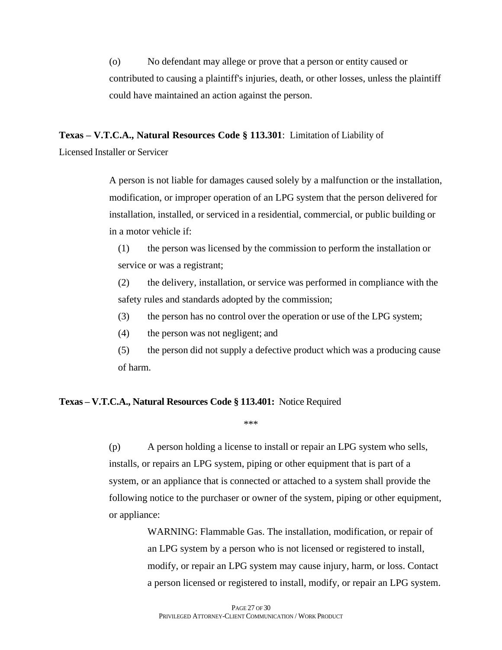(o) No defendant may allege or prove that a person or entity caused or contributed to causing a plaintiff's injuries, death, or other losses, unless the plaintiff could have maintained an action against the person.

**Texas – V.T.C.A., Natural Resources Code § 113.301**: Limitation of Liability of

Licensed Installer or Servicer

A person is not liable for damages caused solely by a malfunction or the installation, modification, or improper operation of an LPG system that the person delivered for installation, installed, or serviced in a residential, commercial, or public building or in a motor vehicle if:

(1) the person was licensed by the commission to perform the installation or service or was a registrant;

(2) the delivery, installation, or service was performed in compliance with the safety rules and standards adopted by the commission;

(3) the person has no control over the operation or use of the LPG system;

(4) the person was not negligent; and

(5) the person did not supply a defective product which was a producing cause of harm.

## **Texas – V.T.C.A., Natural Resources Code § 113.401:** Notice Required

\*\*\*

(p) A person holding a license to install or repair an LPG system who sells, installs, or repairs an LPG system, piping or other equipment that is part of a system, or an appliance that is connected or attached to a system shall provide the following notice to the purchaser or owner of the system, piping or other equipment, or appliance:

> WARNING: Flammable Gas. The installation, modification, or repair of an LPG system by a person who is not licensed or registered to install, modify, or repair an LPG system may cause injury, harm, or loss. Contact a person licensed or registered to install, modify, or repair an LPG system.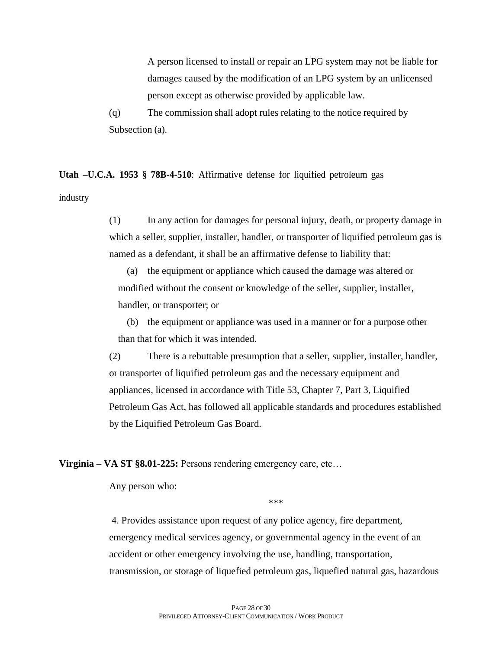A person licensed to install or repair an LPG system may not be liable for damages caused by the modification of an LPG system by an unlicensed person except as otherwise provided by applicable law.

(q) The commission shall adopt rules relating to the notice required by Subsection (a).

**Utah –U.C.A. 1953 § 78B-4-510**: Affirmative defense for liquified petroleum gas

industry

(1) In any action for damages for personal injury, death, or property damage in which a seller, supplier, installer, handler, or transporter of liquified petroleum gas is named as a defendant, it shall be an affirmative defense to liability that:

(a) the equipment or appliance which caused the damage was altered or modified without the consent or knowledge of the seller, supplier, installer, handler, or transporter; or

(b) the equipment or appliance was used in a manner or for a purpose other than that for which it was intended.

(2) There is a rebuttable presumption that a seller, supplier, installer, handler, or transporter of liquified petroleum gas and the necessary equipment and appliances, licensed in accordance with Title 53, Chapter 7, Part 3, Liquified Petroleum Gas Act, has followed all applicable standards and procedures established by the Liquified Petroleum Gas Board.

**Virginia – VA ST §8.01-225:** Persons rendering emergency care, etc…

Any person who:

\*\*\*

4. Provides assistance upon request of any police agency, fire department, emergency medical services agency, or governmental agency in the event of an accident or other emergency involving the use, handling, transportation, transmission, or storage of liquefied petroleum gas, liquefied natural gas, hazardous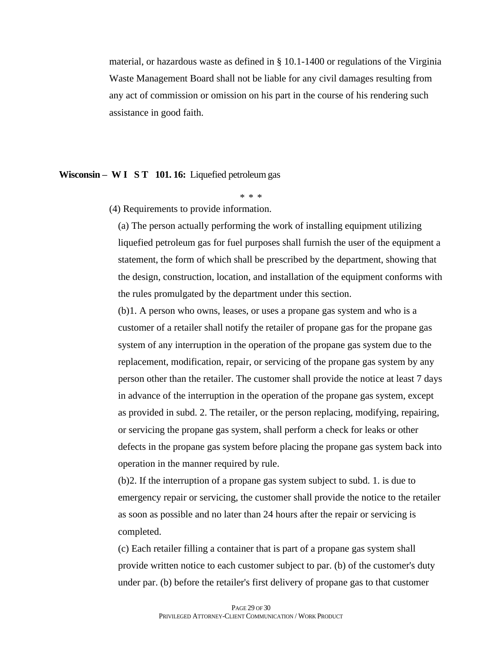material, or hazardous waste as defined in § 10.1-1400 or regulations of the Virginia Waste Management Board shall not be liable for any civil damages resulting from any act of commission or omission on his part in the course of his rendering such assistance in good faith.

#### **Wisconsin – W I S T 101. 16:** Liquefied petroleum gas

\* \* \*

(4) Requirements to provide information.

(a) The person actually performing the work of installing equipment utilizing liquefied petroleum gas for fuel purposes shall furnish the user of the equipment a statement, the form of which shall be prescribed by the department, showing that the design, construction, location, and installation of the equipment conforms with the rules promulgated by the department under this section.

(b)1. A person who owns, leases, or uses a propane gas system and who is a customer of a retailer shall notify the retailer of propane gas for the propane gas system of any interruption in the operation of the propane gas system due to the replacement, modification, repair, or servicing of the propane gas system by any person other than the retailer. The customer shall provide the notice at least 7 days in advance of the interruption in the operation of the propane gas system, except as provided in subd. 2. The retailer, or the person replacing, modifying, repairing, or servicing the propane gas system, shall perform a check for leaks or other defects in the propane gas system before placing the propane gas system back into operation in the manner required by rule.

(b)2. If the interruption of a propane gas system subject to subd. 1. is due to emergency repair or servicing, the customer shall provide the notice to the retailer as soon as possible and no later than 24 hours after the repair or servicing is completed.

(c) Each retailer filling a container that is part of a propane gas system shall provide written notice to each customer subject to par. (b) of the customer's duty under par. (b) before the retailer's first delivery of propane gas to that customer